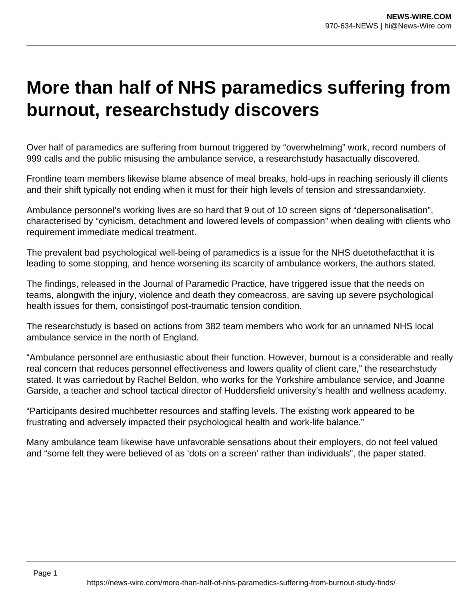## **More than half of NHS paramedics suffering from burnout, researchstudy discovers**

Over half of paramedics are suffering from burnout triggered by "overwhelming" work, record numbers of 999 calls and the public misusing the ambulance service, a researchstudy hasactually discovered.

Frontline team members likewise blame absence of meal breaks, hold-ups in reaching seriously ill clients and their shift typically not ending when it must for their high levels of tension and stressandanxiety.

Ambulance personnel's working lives are so hard that 9 out of 10 screen signs of "depersonalisation", characterised by "cynicism, detachment and lowered levels of compassion" when dealing with clients who requirement immediate medical treatment.

The prevalent bad psychological well-being of paramedics is a issue for the NHS duetothefactthat it is leading to some stopping, and hence worsening its scarcity of ambulance workers, the authors stated.

The findings, released in the Journal of Paramedic Practice, have triggered issue that the needs on teams, alongwith the injury, violence and death they comeacross, are saving up severe psychological health issues for them, consistingof post-traumatic tension condition.

The researchstudy is based on actions from 382 team members who work for an unnamed NHS local ambulance service in the north of England.

"Ambulance personnel are enthusiastic about their function. However, burnout is a considerable and really real concern that reduces personnel effectiveness and lowers quality of client care," the researchstudy stated. It was carriedout by Rachel Beldon, who works for the Yorkshire ambulance service, and Joanne Garside, a teacher and school tactical director of Huddersfield university's health and wellness academy.

"Participants desired muchbetter resources and staffing levels. The existing work appeared to be frustrating and adversely impacted their psychological health and work-life balance."

Many ambulance team likewise have unfavorable sensations about their employers, do not feel valued and "some felt they were believed of as 'dots on a screen' rather than individuals", the paper stated.